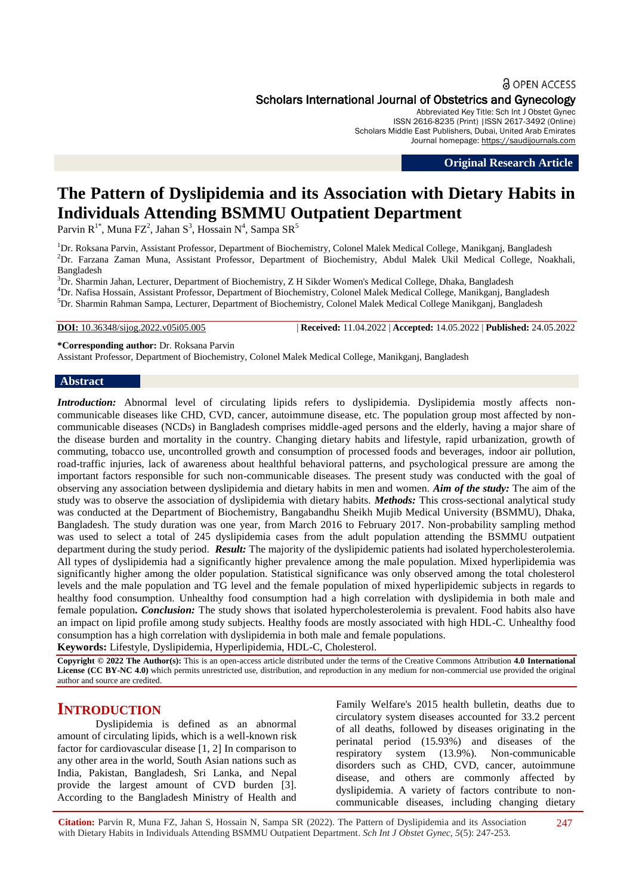### **a** OPEN ACCESS

Scholars International Journal of Obstetrics and Gynecology

Abbreviated Key Title: Sch Int J Obstet Gynec ISSN 2616-8235 (Print) |ISSN 2617-3492 (Online) Scholars Middle East Publishers, Dubai, United Arab Emirates Journal homepage: [https://saudijournals.com](https://saudijournals.com/sijog)

**Original Research Article**

# **The Pattern of Dyslipidemia and its Association with Dietary Habits in Individuals Attending BSMMU Outpatient Department**

Parvin R<sup>1\*</sup>, Muna FZ<sup>2</sup>, Jahan S<sup>3</sup>, Hossain N<sup>4</sup>, Sampa SR<sup>5</sup>

<sup>1</sup>Dr. Roksana Parvin, Assistant Professor, Department of Biochemistry, Colonel Malek Medical College, Manikganj, Bangladesh <sup>2</sup>Dr. Farzana Zaman Muna, Assistant Professor, Department of Biochemistry, Abdul Malek Ukil Medical College, Noakhali, Bangladesh

<sup>3</sup>Dr. Sharmin Jahan, Lecturer, Department of Biochemistry, Z H Sikder Women's Medical College, Dhaka, Bangladesh <sup>4</sup>Dr. Nafisa Hossain, Assistant Professor, Department of Biochemistry, Colonel Malek Medical College, Manikganj, Bangladesh <sup>5</sup>Dr. Sharmin Rahman Sampa, Lecturer, Department of Biochemistry, Colonel Malek Medical College Manikganj, Bangladesh

**DOI:** 10.36348/sijog.2022.v05i05.005 | **Received:** 11.04.2022 | **Accepted:** 14.05.2022 | **Published:** 24.05.2022

**\*Corresponding author:** Dr. Roksana Parvin

Assistant Professor, Department of Biochemistry, Colonel Malek Medical College, Manikganj, Bangladesh

#### **Abstract**

*Introduction:* Abnormal level of circulating lipids refers to dyslipidemia. Dyslipidemia mostly affects noncommunicable diseases like CHD, CVD, cancer, autoimmune disease, etc. The population group most affected by noncommunicable diseases (NCDs) in Bangladesh comprises middle-aged persons and the elderly, having a major share of the disease burden and mortality in the country. Changing dietary habits and lifestyle, rapid urbanization, growth of commuting, tobacco use, uncontrolled growth and consumption of processed foods and beverages, indoor air pollution, road-traffic injuries, lack of awareness about healthful behavioral patterns, and psychological pressure are among the important factors responsible for such non-communicable diseases. The present study was conducted with the goal of observing any association between dyslipidemia and dietary habits in men and women. *Aim of the study:* The aim of the study was to observe the association of dyslipidemia with dietary habits. *Methods:* This cross-sectional analytical study was conducted at the Department of Biochemistry, Bangabandhu Sheikh Mujib Medical University (BSMMU), Dhaka, Bangladesh. The study duration was one year, from March 2016 to February 2017. Non-probability sampling method was used to select a total of 245 dyslipidemia cases from the adult population attending the BSMMU outpatient department during the study period. *Result:* The majority of the dyslipidemic patients had isolated hypercholesterolemia. All types of dyslipidemia had a significantly higher prevalence among the male population. Mixed hyperlipidemia was significantly higher among the older population. Statistical significance was only observed among the total cholesterol levels and the male population and TG level and the female population of mixed hyperlipidemic subjects in regards to healthy food consumption. Unhealthy food consumption had a high correlation with dyslipidemia in both male and female population**.** *Conclusion:* The study shows that isolated hypercholesterolemia is prevalent. Food habits also have an impact on lipid profile among study subjects. Healthy foods are mostly associated with high HDL-C. Unhealthy food consumption has a high correlation with dyslipidemia in both male and female populations.

**Keywords:** Lifestyle, Dyslipidemia, Hyperlipidemia, HDL-C, Cholesterol.

**Copyright © 2022 The Author(s):** This is an open-access article distributed under the terms of the Creative Commons Attribution **4.0 International License (CC BY-NC 4.0)** which permits unrestricted use, distribution, and reproduction in any medium for non-commercial use provided the original author and source are credited.

# **INTRODUCTION**

Dyslipidemia is defined as an abnormal amount of circulating lipids, which is a well-known risk factor for cardiovascular disease [1, 2] In comparison to any other area in the world, South Asian nations such as India, Pakistan, Bangladesh, Sri Lanka, and Nepal provide the largest amount of CVD burden [3]. According to the Bangladesh Ministry of Health and

Family Welfare's 2015 health bulletin, deaths due to circulatory system diseases accounted for 33.2 percent of all deaths, followed by diseases originating in the perinatal period (15.93%) and diseases of the respiratory system (13.9%). Non-communicable disorders such as CHD, CVD, cancer, autoimmune disease, and others are commonly affected by dyslipidemia. A variety of factors contribute to noncommunicable diseases, including changing dietary

**Citation:** Parvin R, Muna FZ, Jahan S, Hossain N, Sampa SR (2022). The Pattern of Dyslipidemia and its Association with Dietary Habits in Individuals Attending BSMMU Outpatient Department. *Sch Int J Obstet Gynec, 5*(5): 247-253. 247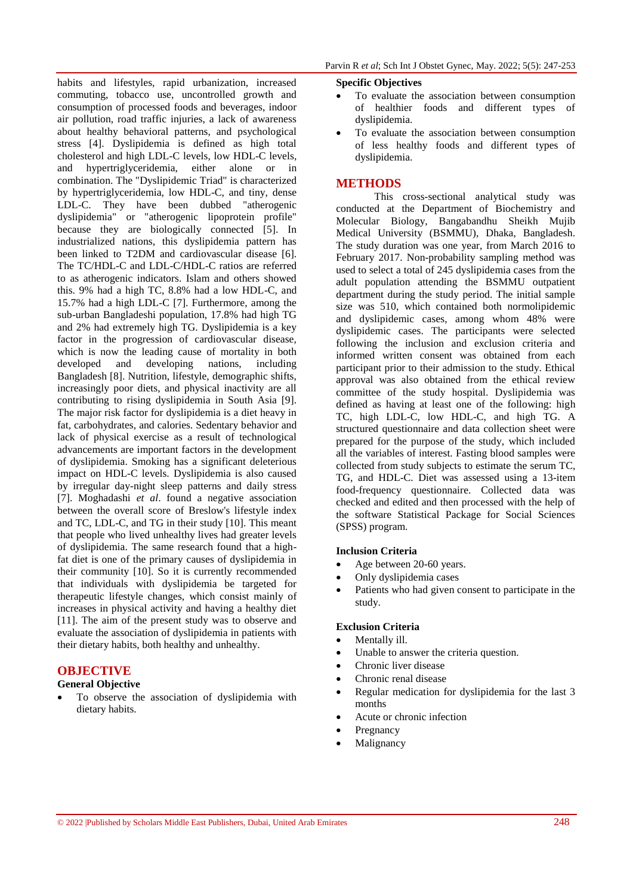habits and lifestyles, rapid urbanization, increased commuting, tobacco use, uncontrolled growth and consumption of processed foods and beverages, indoor air pollution, road traffic injuries, a lack of awareness about healthy behavioral patterns, and psychological stress [4]. Dyslipidemia is defined as high total cholesterol and high LDL-C levels, low HDL-C levels, and hypertriglyceridemia, either alone or in combination. The "Dyslipidemic Triad" is characterized by hypertriglyceridemia, low HDL-C, and tiny, dense LDL-C. They have been dubbed "atherogenic dyslipidemia" or "atherogenic lipoprotein profile" because they are biologically connected [5]. In industrialized nations, this dyslipidemia pattern has been linked to T2DM and cardiovascular disease [6]. The TC/HDL-C and LDL-C/HDL-C ratios are referred to as atherogenic indicators. Islam and others showed this. 9% had a high TC, 8.8% had a low HDL-C, and 15.7% had a high LDL-C [7]. Furthermore, among the sub-urban Bangladeshi population, 17.8% had high TG and 2% had extremely high TG. Dyslipidemia is a key factor in the progression of cardiovascular disease, which is now the leading cause of mortality in both developed and developing nations, including Bangladesh [8]. Nutrition, lifestyle, demographic shifts, increasingly poor diets, and physical inactivity are all contributing to rising dyslipidemia in South Asia [9]. The major risk factor for dyslipidemia is a diet heavy in fat, carbohydrates, and calories. Sedentary behavior and lack of physical exercise as a result of technological advancements are important factors in the development of dyslipidemia. Smoking has a significant deleterious impact on HDL-C levels. Dyslipidemia is also caused by irregular day-night sleep patterns and daily stress [7]. Moghadashi *et al*. found a negative association between the overall score of Breslow's lifestyle index and TC, LDL-C, and TG in their study [10]. This meant that people who lived unhealthy lives had greater levels of dyslipidemia. The same research found that a highfat diet is one of the primary causes of dyslipidemia in their community [10]. So it is currently recommended that individuals with dyslipidemia be targeted for therapeutic lifestyle changes, which consist mainly of increases in physical activity and having a healthy diet [11]. The aim of the present study was to observe and evaluate the association of dyslipidemia in patients with their dietary habits, both healthy and unhealthy.

# **OBJECTIVE**

# **General Objective**

 To observe the association of dyslipidemia with dietary habits.

#### **Specific Objectives**

- To evaluate the association between consumption of healthier foods and different types of dyslipidemia.
- To evaluate the association between consumption of less healthy foods and different types of dyslipidemia.

# **METHODS**

This cross-sectional analytical study was conducted at the Department of Biochemistry and Molecular Biology, Bangabandhu Sheikh Mujib Medical University (BSMMU), Dhaka, Bangladesh. The study duration was one year, from March 2016 to February 2017. Non-probability sampling method was used to select a total of 245 dyslipidemia cases from the adult population attending the BSMMU outpatient department during the study period. The initial sample size was 510, which contained both normolipidemic and dyslipidemic cases, among whom 48% were dyslipidemic cases. The participants were selected following the inclusion and exclusion criteria and informed written consent was obtained from each participant prior to their admission to the study. Ethical approval was also obtained from the ethical review committee of the study hospital. Dyslipidemia was defined as having at least one of the following: high TC, high LDL-C, low HDL-C, and high TG. A structured questionnaire and data collection sheet were prepared for the purpose of the study, which included all the variables of interest. Fasting blood samples were collected from study subjects to estimate the serum TC, TG, and HDL-C. Diet was assessed using a 13-item food-frequency questionnaire. Collected data was checked and edited and then processed with the help of the software Statistical Package for Social Sciences (SPSS) program.

#### **Inclusion Criteria**

- Age between 20-60 years.
- Only dyslipidemia cases
- Patients who had given consent to participate in the study.

# **Exclusion Criteria**

- Mentally ill.
- Unable to answer the criteria question.
- Chronic liver disease
- Chronic renal disease
- Regular medication for dyslipidemia for the last 3 months
- Acute or chronic infection
- Pregnancy
- Malignancy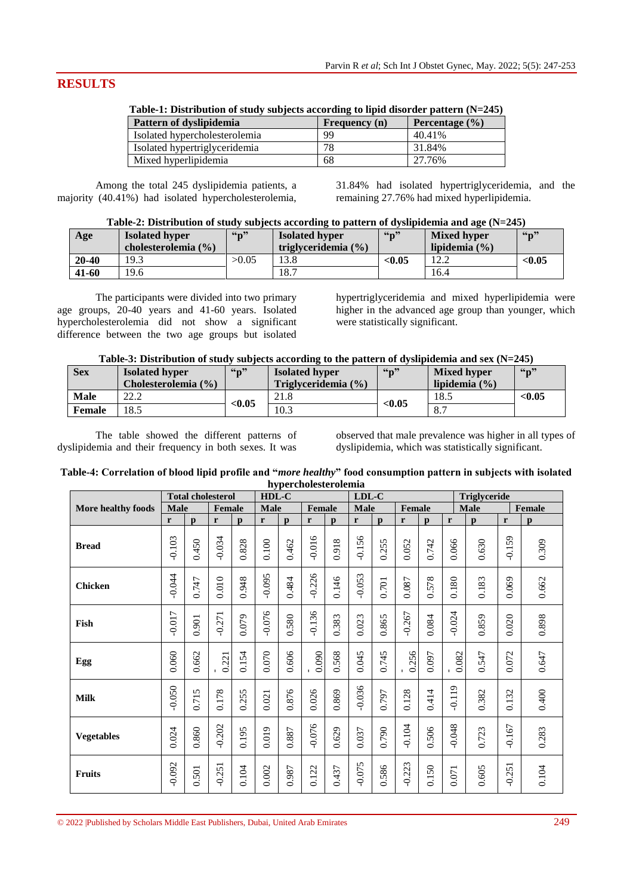# **RESULTS**

| Table-1: Distribution of study subjects according to libid disorder pattern (N=245) |               |                    |
|-------------------------------------------------------------------------------------|---------------|--------------------|
| Pattern of dyslipidemia                                                             | Frequency (n) | Percentage $(\% )$ |
| Isolated hypercholesterolemia                                                       | 99            | 40.41%             |
| Isolated hypertriglyceridemia                                                       | 78            | 31.84%             |
| Mixed hyperlipidemia                                                                | -68           | 27.76%             |
|                                                                                     |               |                    |

**Table-1: Distribution of study subjects according to lipid disorder pattern (N=245)**

Among the total 245 dyslipidemia patients, a majority (40.41%) had isolated hypercholesterolemia,

31.84% had isolated hypertriglyceridemia, and the remaining 27.76% had mixed hyperlipidemia.

| Age       | <b>Isolated hyper</b>   | $66n$ <sup>39</sup> | <b>Isolated hyper</b>   | $\mathbf{G}_{\mathbf{D}}$ | <b>Mixed hyper</b> | $\binom{6}{1}$ |
|-----------|-------------------------|---------------------|-------------------------|---------------------------|--------------------|----------------|
|           | cholesterolemia $(\% )$ |                     | triglyceridemia $(\% )$ |                           | lipidemia $(\% )$  |                |
| $20 - 40$ | 19.3                    | >0.05               | 13.8                    | < 0.05                    | 12.2               | < 0.05         |
| 41-60     | 19.6                    |                     | 18.7                    |                           | 16.4               |                |

The participants were divided into two primary age groups, 20-40 years and 41-60 years. Isolated hypercholesterolemia did not show a significant difference between the two age groups but isolated

hypertriglyceridemia and mixed hyperlipidemia were higher in the advanced age group than younger, which were statistically significant.

# **Table-3: Distribution of study subjects according to the pattern of dyslipidemia and sex (N=245)**

| <b>Sex</b> | <b>Isolated hyper</b><br>Cholesterolemia (%) | 66n    | <b>Isolated hyper</b><br>Triglyceridemia $(\% )$ | $66n$ <sup>39</sup> | <b>Mixed hyper</b><br>lipidemia $(\% )$ | $66n$ <sup>39</sup> |
|------------|----------------------------------------------|--------|--------------------------------------------------|---------------------|-----------------------------------------|---------------------|
| Male       | າາ າ<br>LL.L                                 |        | 21.8                                             |                     | 18.5                                    | < 0.05              |
| Female     | 18.5                                         | < 0.05 | 10.3                                             | < 0.05              | O <sub>7</sub><br>$\mathbf{O}$ .        |                     |

The table showed the different patterns of dyslipidemia and their frequency in both sexes. It was

observed that male prevalence was higher in all types of dyslipidemia, which was statistically significant.

| Table-4: Correlation of blood lipid profile and "more healthy" food consumption pattern in subjects with isolated |  |
|-------------------------------------------------------------------------------------------------------------------|--|
| hypercholesterolemia                                                                                              |  |

|                    |             | <b>Total cholesterol</b> |               |              | HDL-C        |              |          |              | $LDL-C$     |              |          |              |              | Triglyceride |          |              |
|--------------------|-------------|--------------------------|---------------|--------------|--------------|--------------|----------|--------------|-------------|--------------|----------|--------------|--------------|--------------|----------|--------------|
| More healthy foods | <b>Male</b> |                          | <b>Female</b> |              | <b>Male</b>  |              | Female   |              | <b>Male</b> |              | Female   |              |              | <b>Male</b>  |          | Female       |
|                    | r           | $\mathbf{p}$             | r             | $\mathbf{p}$ | $\mathbf{r}$ | $\mathbf{p}$ | r        | $\mathbf{p}$ | r           | $\mathbf{p}$ | r        | $\mathbf{p}$ | $\mathbf{r}$ | $\mathbf{D}$ | r        | $\mathbf{p}$ |
| <b>Bread</b>       | $-0.103$    | 0.450                    | $-0.034$      | 0.828        | 0.100        | 0.462        | $-0.016$ | 0.918        | $-0.156$    | 0.255        | 0.052    | 0.742        | 0.066        | 0.630        | $-0.159$ | 0.309        |
| <b>Chicken</b>     | $-0.044$    | 0.747                    | 0.010         | 0.948        | $-0.095$     | 0.484        | $-0.226$ | 0.146        | $-0.053$    | 0.701        | 0.087    | 0.578        | 0.180        | 0.183        | 0.069    | 0.662        |
| Fish               | $-0.017$    | 0.901                    | $-0.271$      | 0.079        | $-0.076$     | 0.580        | $-0.136$ | 0.383        | 0.023       | 0.865        | $-0.267$ | 0.084        | $-0.024$     | 0.859        | 0.020    | 0.898        |
| Egg                | 0.060       | 0.662                    | 0.221         | 0.154        | 0.070        | 0.606        | 0.090    | 0.568        | 0.045       | 0.745        | 0.256    | 0.097        | 0.082        | 0.547        | 0.072    | 0.647        |
| <b>Milk</b>        | $-0.050$    | 0.715                    | 0.178         | 0.255        | 0.021        | 0.876        | 0.026    | 0.869        | $-0.036$    | 0.797        | 0.128    | 0.414        | $-0.119$     | 0.382        | 0.132    | 0.400        |
| <b>Vegetables</b>  | 0.024       | 0.860                    | $-0.202$      | 0.195        | 0.019        | 0.887        | $-0.076$ | 0.629        | 0.037       | 0.790        | $-0.104$ | 0.506        | $-0.048$     | 0.723        | $-0.167$ | 0.283        |
| Fruits             | $-0.092$    | 0.501                    | $-0.251$      | $0.104$      | 0.002        | 0.987        | 0.122    | 0.437        | $-0.075$    | 0.586        | $-0.223$ | 0.150        | 0.071        | 0.605        | $-0.251$ | $0.104$      |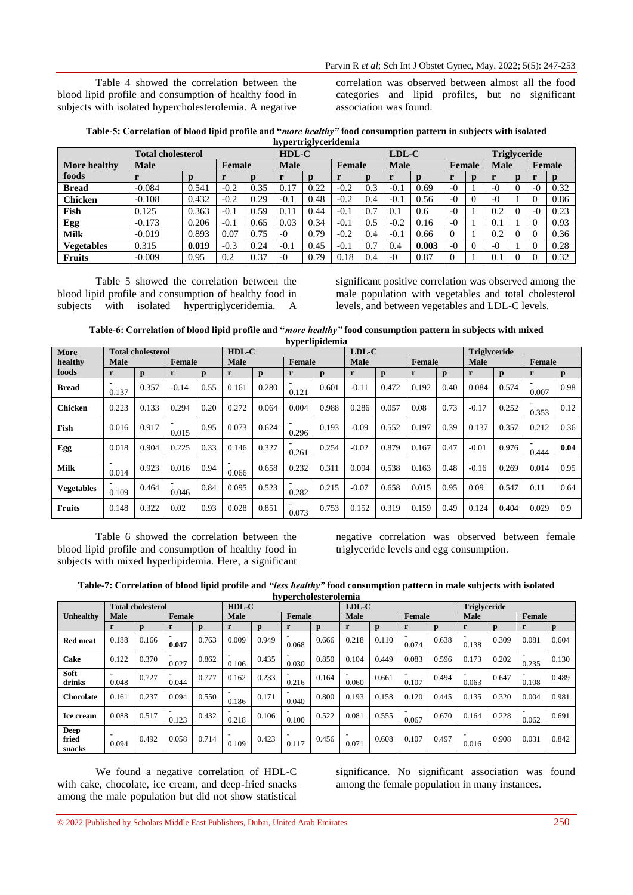Table 4 showed the correlation between the blood lipid profile and consumption of healthy food in subjects with isolated hypercholesterolemia. A negative correlation was observed between almost all the food categories and lipid profiles, but no significant association was found.

| Table-5: Correlation of blood lipid profile and " <i>more healthy"</i> food consumption pattern in subjects with isolated |
|---------------------------------------------------------------------------------------------------------------------------|
| hypertriglyceridemia                                                                                                      |

|                   | <b>Total cholesterol</b> |       |        |        | $HDL-C$    | $\sim$      |        |        | $LDL-C$ | <b>Triglyceride</b> |        |          |             |             |           |      |
|-------------------|--------------------------|-------|--------|--------|------------|-------------|--------|--------|---------|---------------------|--------|----------|-------------|-------------|-----------|------|
| More healthy      | <b>Male</b>              |       |        | Female |            | <b>Male</b> |        | Female |         | <b>Male</b>         | Female |          | <b>Male</b> |             | Female    |      |
| foods             |                          |       |        |        |            | D           |        | D      |         |                     |        |          |             | $\mathbf n$ |           |      |
| <b>Bread</b>      | $-0.084$                 | 0.541 | $-0.2$ | 0.35   | 17<br>O. I | 0.22        | $-0.2$ | 0.3    | $-0.1$  | 0.69                | $-0$   |          | $-0$        | $\theta$    | $-0$      | 0.32 |
| <b>Chicken</b>    | $-0.108$                 | 0.432 | $-0.2$ | 0.29   | $-0.1$     | 0.48        | $-0.2$ | 0.4    | $-0.1$  | 0.56                | $-0$   | $\Omega$ | $-0$        |             |           | 0.86 |
| Fish              | 0.125                    | 0.363 | $-0.1$ | 0.59   | 0.1        | 0.44        | $-0.1$ | 0.7    | 0.1     | 0.6                 | $-0$   |          | 0.2         |             | $ \Omega$ | 0.23 |
| <b>Egg</b>        | $-0.173$                 | 0.206 | $-0.1$ | 0.65   | 0.03       | 0.34        | $-0.1$ | 0.5    | $-0.2$  | 0.16                | $-0$   |          | $0.1\,$     |             |           | 0.93 |
| <b>Milk</b>       | $-0.019$                 | 0.893 | 0.07   | 0.75   | -0         | 0.79        | $-0.2$ | 0.4    | $-0.1$  | 0.66                |        |          | 0.2         |             |           | 0.36 |
| <b>Vegetables</b> | 0.315                    | 0.019 | $-0.3$ | 0.24   | $-0.1$     | 0.45        | $-0.1$ | 0.7    | 0.4     | 0.003               | $-0$   | $\Omega$ | $-0$        |             |           | 0.28 |
| <b>Fruits</b>     | $-0.009$                 | 0.95  | 0.2    | 0.37   | $-$ 0      | 0.79        | 0.18   | 0.4    | $-0$    | 0.87                |        |          | 0.1         |             |           | 0.32 |

Table 5 showed the correlation between the blood lipid profile and consumption of healthy food in subjects with isolated hypertriglyceridemia. A

significant positive correlation was observed among the male population with vegetables and total cholesterol levels, and between vegetables and LDL-C levels.

**Table-6: Correlation of blood lipid profile and "***more healthy"* **food consumption pattern in subjects with mixed hyperlipidemia**

| More              |             | <b>Total cholesterol</b> |               |              | $HDL-C$     |             |            |              | $LDL-C$     |       |        |              | <b>Triglyceride</b> |              |        |      |  |
|-------------------|-------------|--------------------------|---------------|--------------|-------------|-------------|------------|--------------|-------------|-------|--------|--------------|---------------------|--------------|--------|------|--|
| healthy           | <b>Male</b> |                          | <b>Female</b> |              | <b>Male</b> |             | Female     |              | <b>Male</b> |       | Female |              | <b>Male</b>         |              | Female |      |  |
| foods             | r           | $\mathbf n$              |               | $\mathbf{p}$ | r           | $\mathbf n$ | r          | $\mathbf{p}$ | r           | n     |        | $\mathbf{p}$ | r                   | $\mathbf{D}$ | r      | p    |  |
| <b>Bread</b>      | 0.137       | 0.357                    | $-0.14$       | 0.55         | 0.161       | 0.280       | 0.121      | 0.601        | $-0.11$     | 0.472 | 0.192  | 0.40         | 0.084               | 0.574        | 0.007  | 0.98 |  |
| <b>Chicken</b>    | 0.223       | 0.133                    | 0.294         | 0.20         | 0.272       | 0.064       | 0.004      | 0.988        | 0.286       | 0.057 | 0.08   | 0.73         | $-0.17$             | 0.252        | 0.353  | 0.12 |  |
| Fish              | 0.016       | 0.917                    | 0.015         | 0.95         | 0.073       | 0.624       | -<br>0.296 | 0.193        | $-0.09$     | 0.552 | 0.197  | 0.39         | 0.137               | 0.357        | 0.212  | 0.36 |  |
| Egg               | 0.018       | 0.904                    | 0.225         | 0.33         | 0.146       | 0.327       | 0.261      | 0.254        | $-0.02$     | 0.879 | 0.167  | 0.47         | $-0.01$             | 0.976        | 0.444  | 0.04 |  |
| <b>Milk</b>       | 0.014       | 0.923                    | 0.016         | 0.94         | 0.066       | 0.658       | 0.232      | 0.311        | 0.094       | 0.538 | 0.163  | 0.48         | $-0.16$             | 0.269        | 0.014  | 0.95 |  |
| <b>Vegetables</b> | 0.109       | 0.464                    | 0.046         | 0.84         | 0.095       | 0.523       | 0.282      | 0.215        | $-0.07$     | 0.658 | 0.015  | 0.95         | 0.09                | 0.547        | 0.11   | 0.64 |  |
| <b>Fruits</b>     | 0.148       | 0.322                    | 0.02          | 0.93         | 0.028       | 0.851       | 0.073      | 0.753        | 0.152       | 0.319 | 0.159  | 0.49         | 0.124               | 0.404        | 0.029  | 0.9  |  |

Table 6 showed the correlation between the blood lipid profile and consumption of healthy food in subjects with mixed hyperlipidemia. Here, a significant negative correlation was observed between female triglyceride levels and egg consumption.

**Table-7: Correlation of blood lipid profile and** *"less healthy"* **food consumption pattern in male subjects with isolated hypercholesterolemia**

|                                |             | <b>Total cholesterol</b> |                                   |       | $HDL-C$ |       |                                   |       | $LDL-C$ |       |        |       | <b>Triglyceride</b> |       |        |       |
|--------------------------------|-------------|--------------------------|-----------------------------------|-------|---------|-------|-----------------------------------|-------|---------|-------|--------|-------|---------------------|-------|--------|-------|
| <b>Unhealthy</b>               | <b>Male</b> |                          | Female                            |       | Male    |       | Female                            |       | Male    |       | Female |       | <b>Male</b>         |       | Female |       |
|                                | r           | D                        |                                   |       |         |       |                                   |       | r       | р     |        |       |                     |       |        | p     |
| <b>Red meat</b>                | 0.188       | 0.166                    | 0.047                             | 0.763 | 0.009   | 0.949 | 0.068                             | 0.666 | 0.218   | 0.110 | 0.074  | 0.638 | 0.138               | 0.309 | 0.081  | 0.604 |
| Cake                           | 0.122       | 0.370                    | 0.027                             | 0.862 | 0.106   | 0.435 | $\overline{\phantom{0}}$<br>0.030 | 0.850 | 0.104   | 0.449 | 0.083  | 0.596 | 0.173               | 0.202 | 0.235  | 0.130 |
| Soft<br>drinks                 | 0.048       | 0.727                    | 0.044                             | 0.777 | 0.162   | 0.233 | 0.216                             | 0.164 | 0.060   | 0.661 | 0.107  | 0.494 | 0.063               | 0.647 | 0.108  | 0.489 |
| <b>Chocolate</b>               | 0.161       | 0.237                    | 0.094                             | 0.550 | 0.186   | 0.171 | 0.040                             | 0.800 | 0.193   | 0.158 | 0.120  | 0.445 | 0.135               | 0.320 | 0.004  | 0.981 |
| Ice cream                      | 0.088       | 0.517                    | $\overline{\phantom{0}}$<br>0.123 | 0.432 | 0.218   | 0.106 | $\overline{\phantom{0}}$<br>0.100 | 0.522 | 0.081   | 0.555 | 0.067  | 0.670 | 0.164               | 0.228 | 0.062  | 0.691 |
| <b>Deep</b><br>fried<br>snacks | 0.094       | 0.492                    | 0.058                             | 0.714 | 0.109   | 0.423 | 0.117                             | 0.456 | 0.071   | 0.608 | 0.107  | 0.497 | 0.016               | 0.908 | 0.031  | 0.842 |

We found a negative correlation of HDL-C with cake, chocolate, ice cream, and deep-fried snacks among the male population but did not show statistical

significance. No significant association was found among the female population in many instances.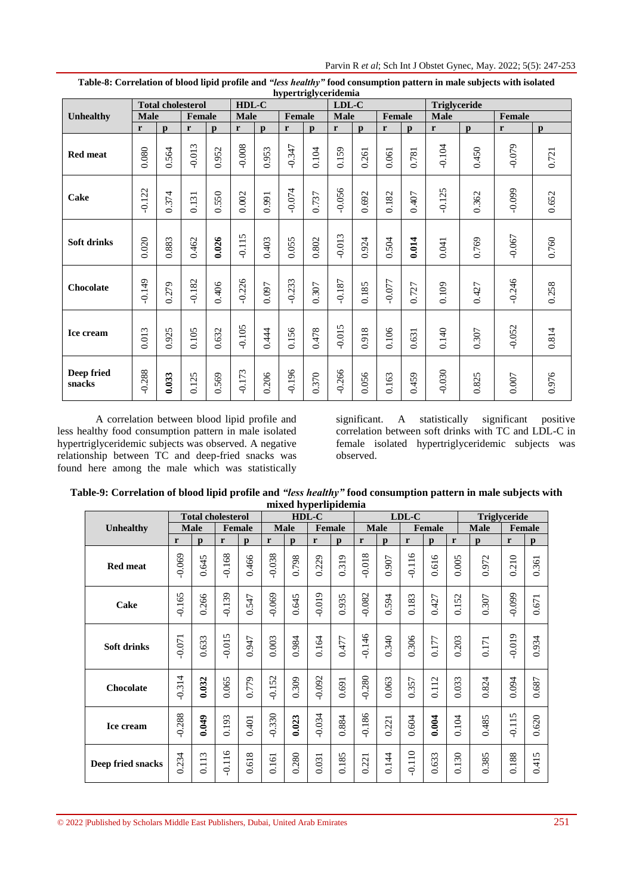|                      |             |              | <b>Total cholesterol</b> |              | HDL-C        |              |          |              | $LDL-C$     |              |          |              | <b>Triglyceride</b> |              |              |              |
|----------------------|-------------|--------------|--------------------------|--------------|--------------|--------------|----------|--------------|-------------|--------------|----------|--------------|---------------------|--------------|--------------|--------------|
| Unhealthy            | <b>Male</b> |              | Female                   |              | <b>Male</b>  |              | Female   |              | <b>Male</b> |              | Female   |              | <b>Male</b>         |              | Female       |              |
|                      | r           | $\mathbf{p}$ | r                        | $\mathbf{p}$ | $\mathbf{r}$ | $\mathbf{p}$ | r        | $\mathbf{p}$ | r           | $\mathbf{p}$ | r        | $\mathbf{D}$ | $\mathbf{r}$        | $\mathbf{p}$ | $\mathbf{r}$ | $\mathbf{p}$ |
| <b>Red meat</b>      | 0.080       | 0.564        | $-0.013$                 | 0.952        | $-0.008$     | 0.953        | $-0.347$ | $0.104$      | 0.159       | 0.261        | 0.061    | 0.781        | $-0.104$            | 0.450        | $-0.079$     | 0.721        |
| Cake                 | $-0.122$    | 0.374        | 0.131                    | 0.550        | 0.002        | 0.991        | $-0.074$ | 0.737        | $-0.056$    | 0.692        | 0.182    | 0.407        | $-0.125$            | 0.362        | $-0.099$     | 0.652        |
| Soft drinks          | 0.020       | 0.883        | 0.462                    | 0.026        | $-0.115$     | 0.403        | 0.055    | 0.802        | $-0.013$    | 0.924        | 0.504    | 0.014        | 0.041               | 0.769        | $-0.067$     | 0.760        |
| Chocolate            | $-0.149$    | 0.279        | $-0.182$                 | 0.406        | $-0.226$     | 0.097        | $-0.233$ | 0.307        | $-0.187$    | 0.185        | $-0.077$ | 0.727        | 0.109               | 0.427        | $-0.246$     | 0.258        |
| Ice cream            | 0.013       | 0.925        | 0.105                    | 0.632        | $-0.105$     | 0.444        | 0.156    | 0.478        | $-0.015$    | 0.918        | 0.106    | 0.631        | 0.140               | 0.307        | $-0.052$     | 0.814        |
| Deep fried<br>snacks | $-0.288$    | 0.033        | 0.125                    | 0.569        | $-0.173$     | 0.206        | $-0.196$ | 0.370        | $-0.266$    | 0.056        | 0.163    | 0.459        | $-0.030$            | 0.825        | $0.007\,$    | 0.976        |

**Table-8: Correlation of blood lipid profile and** *"less healthy"* **food consumption pattern in male subjects with isolated hypertriglyceridemia**

A correlation between blood lipid profile and less healthy food consumption pattern in male isolated hypertriglyceridemic subjects was observed. A negative relationship between TC and deep-fried snacks was found here among the male which was statistically significant. A statistically significant positive correlation between soft drinks with TC and LDL-C in female isolated hypertriglyceridemic subjects was observed.

| Table-9: Correlation of blood lipid profile and "less healthy" food consumption pattern in male subjects with |
|---------------------------------------------------------------------------------------------------------------|
| mixed hyperlipidemia                                                                                          |

|                    | <b>Total cholesterol</b> |              |               |       | $v \sim 1$<br>HDL-C |              |               |              | LDL-C        |              |               |              |       | <b>Triglyceride</b> |          |              |
|--------------------|--------------------------|--------------|---------------|-------|---------------------|--------------|---------------|--------------|--------------|--------------|---------------|--------------|-------|---------------------|----------|--------------|
| Unhealthy          | <b>Male</b>              |              | <b>Female</b> |       | <b>Male</b>         |              | <b>Female</b> |              | <b>Male</b>  |              | <b>Female</b> |              |       | <b>Male</b>         | Female   |              |
|                    | r                        | $\mathbf{p}$ | r             | p     | r                   | $\mathbf{p}$ | r             | $\mathbf{p}$ | $\mathbf{r}$ | $\mathbf{p}$ | $\mathbf r$   | $\mathbf{p}$ | r     | $\mathbf{p}$        | r        | $\mathbf{p}$ |
| <b>Red meat</b>    | $-0.069$                 | 0.645        | $-0.168$      | 0.466 | $-0.038$            | 0.798        | 0.229         | 0.319        | $-0.018$     | 0.907        | $-0.116$      | 0.616        | 0.005 | 0.972               | 0.210    | 0.361        |
| Cake               | $-0.165$                 | 0.266        | $-0.139$      | 0.547 | $-0.069$            | 0.645        | $-0.019$      | 0.935        | $-0.082$     | 0.594        | 0.183         | 0.427        | 0.152 | 0.307               | $-0.099$ | $0.671\,$    |
| <b>Soft drinks</b> | $-0.071$                 | 0.633        | $-0.015$      | 0.947 | 0.003               | 0.984        | 0.164         | 0.477        | $-0.146$     | 0.340        | 0.306         | 0.177        | 0.203 | 0.171               | $-0.019$ | 0.934        |
| Chocolate          | $-0.314$                 | 0.032        | 0.065         | 0.779 | $-0.152$            | 0.309        | $-0.092$      | 0.691        | $-0.280$     | 0.063        | 0.357         | 0.112        | 0.033 | 0.824               | 0.094    | $0.687\,$    |
| Ice cream          | $-0.288$                 | 0.049        | 0.193         | 0.401 | $-0.330$            | 0.023        | $-0.034$      | 0.884        | $-0.186$     | 0.221        | 0.604         | 0.004        | 0.104 | 0.485               | $-0.115$ | 0.620        |
| Deep fried snacks  | 0.234                    | 0.113        | $-0.116$      | 0.618 | 0.161               | 0.280        | 0.031         | 0.185        | 0.221        | 0.144        | $-0.110$      | 0.633        | 0.130 | 0.385               | 0.188    | 0.415        |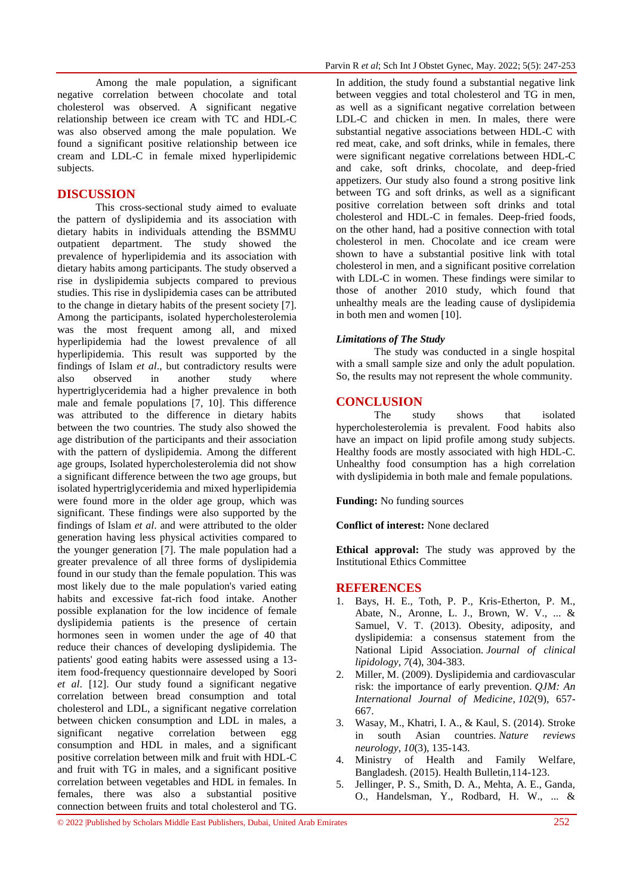Among the male population, a significant negative correlation between chocolate and total cholesterol was observed. A significant negative relationship between ice cream with TC and HDL-C was also observed among the male population. We found a significant positive relationship between ice cream and LDL-C in female mixed hyperlipidemic subjects.

# **DISCUSSION**

This cross-sectional study aimed to evaluate the pattern of dyslipidemia and its association with dietary habits in individuals attending the BSMMU outpatient department. The study showed the prevalence of hyperlipidemia and its association with dietary habits among participants. The study observed a rise in dyslipidemia subjects compared to previous studies. This rise in dyslipidemia cases can be attributed to the change in dietary habits of the present society [7]. Among the participants, isolated hypercholesterolemia was the most frequent among all, and mixed hyperlipidemia had the lowest prevalence of all hyperlipidemia. This result was supported by the findings of Islam *et al*., but contradictory results were also observed in another study where hypertriglyceridemia had a higher prevalence in both male and female populations [7, 10]. This difference was attributed to the difference in dietary habits between the two countries. The study also showed the age distribution of the participants and their association with the pattern of dyslipidemia. Among the different age groups, Isolated hypercholesterolemia did not show a significant difference between the two age groups, but isolated hypertriglyceridemia and mixed hyperlipidemia were found more in the older age group, which was significant. These findings were also supported by the findings of Islam *et al*. and were attributed to the older generation having less physical activities compared to the younger generation [7]. The male population had a greater prevalence of all three forms of dyslipidemia found in our study than the female population. This was most likely due to the male population's varied eating habits and excessive fat-rich food intake. Another possible explanation for the low incidence of female dyslipidemia patients is the presence of certain hormones seen in women under the age of 40 that reduce their chances of developing dyslipidemia. The patients' good eating habits were assessed using a 13 item food-frequency questionnaire developed by Soori *et al*. [12]. Our study found a significant negative correlation between bread consumption and total cholesterol and LDL, a significant negative correlation between chicken consumption and LDL in males, a significant negative correlation between egg consumption and HDL in males, and a significant positive correlation between milk and fruit with HDL-C and fruit with TG in males, and a significant positive correlation between vegetables and HDL in females. In females, there was also a substantial positive connection between fruits and total cholesterol and TG.

In addition, the study found a substantial negative link between veggies and total cholesterol and TG in men, as well as a significant negative correlation between LDL-C and chicken in men. In males, there were substantial negative associations between HDL-C with red meat, cake, and soft drinks, while in females, there were significant negative correlations between HDL-C and cake, soft drinks, chocolate, and deep-fried appetizers. Our study also found a strong positive link between TG and soft drinks, as well as a significant positive correlation between soft drinks and total cholesterol and HDL-C in females. Deep-fried foods, on the other hand, had a positive connection with total cholesterol in men. Chocolate and ice cream were shown to have a substantial positive link with total cholesterol in men, and a significant positive correlation with LDL-C in women. These findings were similar to those of another 2010 study, which found that unhealthy meals are the leading cause of dyslipidemia in both men and women [10].

#### *Limitations of The Study*

The study was conducted in a single hospital with a small sample size and only the adult population. So, the results may not represent the whole community.

### **CONCLUSION**

The study shows that isolated hypercholesterolemia is prevalent. Food habits also have an impact on lipid profile among study subjects. Healthy foods are mostly associated with high HDL-C. Unhealthy food consumption has a high correlation with dyslipidemia in both male and female populations.

**Funding:** No funding sources

**Conflict of interest:** None declared

**Ethical approval:** The study was approved by the Institutional Ethics Committee

# **REFERENCES**

- 1. Bays, H. E., Toth, P. P., Kris-Etherton, P. M., Abate, N., Aronne, L. J., Brown, W. V., ... & Samuel, V. T. (2013). Obesity, adiposity, and dyslipidemia: a consensus statement from the National Lipid Association. *Journal of clinical lipidology*, *7*(4), 304-383.
- 2. Miller, M. (2009). Dyslipidemia and cardiovascular risk: the importance of early prevention. *QJM: An International Journal of Medicine*, *102*(9), 657- 667.
- 3. Wasay, M., Khatri, I. A., & Kaul, S. (2014). Stroke in south Asian countries. *Nature reviews neurology*, *10*(3), 135-143.
- 4. Ministry of Health and Family Welfare, Bangladesh. (2015). Health Bulletin,114-123.
- 5. Jellinger, P. S., Smith, D. A., Mehta, A. E., Ganda, O., Handelsman, Y., Rodbard, H. W., ... &